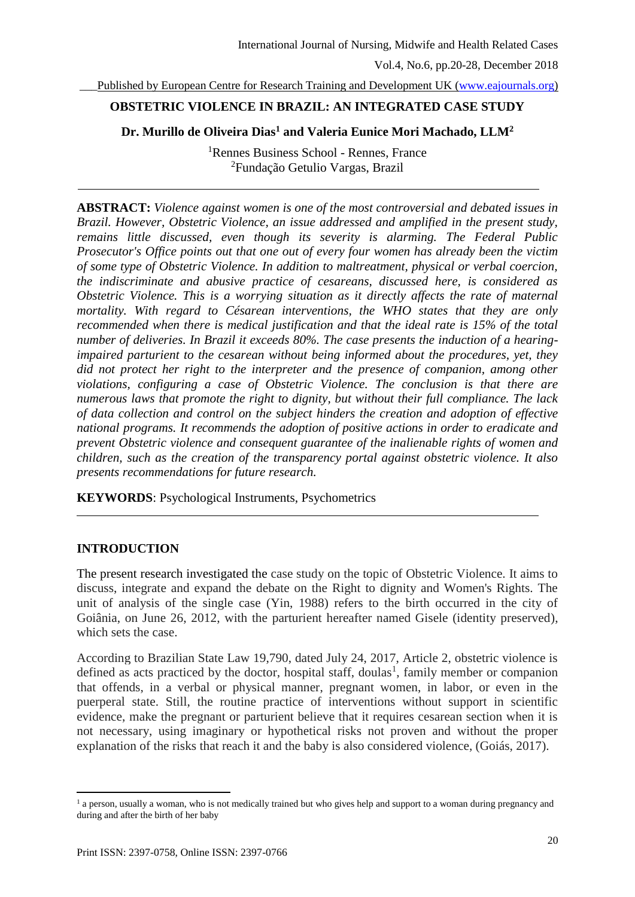Published by European Centre for Research Training and Development UK [\(www.eajournals.org\)](http://www.eajournals.org/)

## **OBSTETRIC VIOLENCE IN BRAZIL: AN INTEGRATED CASE STUDY**

## **Dr. Murillo de Oliveira Dias<sup>1</sup> and Valeria Eunice Mori Machado, LLM<sup>2</sup>**

<sup>1</sup>Rennes Business School - Rennes, France <sup>2</sup>Fundação Getulio Vargas, Brazil

**ABSTRACT:** *Violence against women is one of the most controversial and debated issues in Brazil. However, Obstetric Violence, an issue addressed and amplified in the present study, remains little discussed, even though its severity is alarming. The Federal Public Prosecutor's Office points out that one out of every four women has already been the victim of some type of Obstetric Violence. In addition to maltreatment, physical or verbal coercion, the indiscriminate and abusive practice of cesareans, discussed here, is considered as Obstetric Violence. This is a worrying situation as it directly affects the rate of maternal mortality. With regard to Césarean interventions, the WHO states that they are only recommended when there is medical justification and that the ideal rate is 15% of the total number of deliveries. In Brazil it exceeds 80%. The case presents the induction of a hearingimpaired parturient to the cesarean without being informed about the procedures, yet, they did not protect her right to the interpreter and the presence of companion, among other violations, configuring a case of Obstetric Violence. The conclusion is that there are numerous laws that promote the right to dignity, but without their full compliance. The lack of data collection and control on the subject hinders the creation and adoption of effective national programs. It recommends the adoption of positive actions in order to eradicate and prevent Obstetric violence and consequent guarantee of the inalienable rights of women and children, such as the creation of the transparency portal against obstetric violence. It also presents recommendations for future research.*

**KEYWORDS**: Psychological Instruments, Psychometrics

### **INTRODUCTION**

The present research investigated the case study on the topic of Obstetric Violence. It aims to discuss, integrate and expand the debate on the Right to dignity and Women's Rights. The unit of analysis of the single case (Yin, 1988) refers to the birth occurred in the city of Goiânia, on June 26, 2012, with the parturient hereafter named Gisele (identity preserved), which sets the case.

According to Brazilian State Law 19,790, dated July 24, 2017, Article 2, obstetric violence is defined as acts practiced by the doctor, hospital staff, doulas<sup>1</sup>, family member or companion that offends, in a verbal or physical manner, pregnant women, in labor, or even in the puerperal state. Still, the routine practice of interventions without support in scientific evidence, make the pregnant or parturient believe that it requires cesarean section when it is not necessary, using imaginary or hypothetical risks not proven and without the proper explanation of the risks that reach it and the baby is also considered violence, (Goiás, 2017).

The person, usually a woman, who is not medically trained but who gives help and support to a woman during pregnancy and  $\frac{1}{2}$ during and after the birth of her baby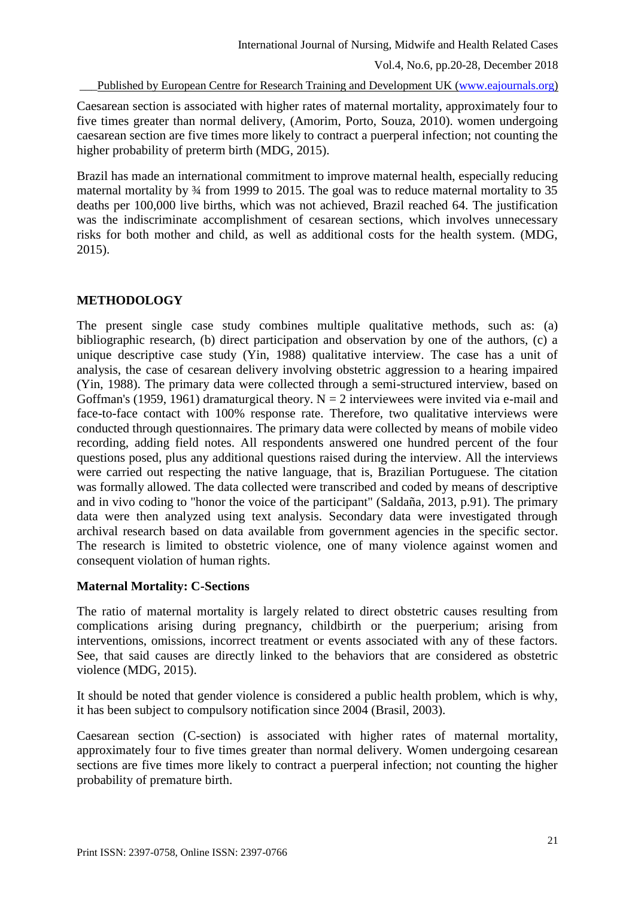Published by European Centre for Research Training and Development UK [\(www.eajournals.org\)](http://www.eajournals.org/)

Caesarean section is associated with higher rates of maternal mortality, approximately four to five times greater than normal delivery, (Amorim, Porto, Souza, 2010). women undergoing caesarean section are five times more likely to contract a puerperal infection; not counting the higher probability of preterm birth (MDG, 2015).

Brazil has made an international commitment to improve maternal health, especially reducing maternal mortality by ¾ from 1999 to 2015. The goal was to reduce maternal mortality to 35 deaths per 100,000 live births, which was not achieved, Brazil reached 64. The justification was the indiscriminate accomplishment of cesarean sections, which involves unnecessary risks for both mother and child, as well as additional costs for the health system. (MDG, 2015).

# **METHODOLOGY**

The present single case study combines multiple qualitative methods, such as: (a) bibliographic research, (b) direct participation and observation by one of the authors, (c) a unique descriptive case study (Yin, 1988) qualitative interview. The case has a unit of analysis, the case of cesarean delivery involving obstetric aggression to a hearing impaired (Yin, 1988). The primary data were collected through a semi-structured interview, based on Goffman's (1959, 1961) dramaturgical theory.  $N = 2$  interviewees were invited via e-mail and face-to-face contact with 100% response rate. Therefore, two qualitative interviews were conducted through questionnaires. The primary data were collected by means of mobile video recording, adding field notes. All respondents answered one hundred percent of the four questions posed, plus any additional questions raised during the interview. All the interviews were carried out respecting the native language, that is, Brazilian Portuguese. The citation was formally allowed. The data collected were transcribed and coded by means of descriptive and in vivo coding to "honor the voice of the participant" (Saldaña, 2013, p.91). The primary data were then analyzed using text analysis. Secondary data were investigated through archival research based on data available from government agencies in the specific sector. The research is limited to obstetric violence, one of many violence against women and consequent violation of human rights.

# **Maternal Mortality: C-Sections**

The ratio of maternal mortality is largely related to direct obstetric causes resulting from complications arising during pregnancy, childbirth or the puerperium; arising from interventions, omissions, incorrect treatment or events associated with any of these factors. See, that said causes are directly linked to the behaviors that are considered as obstetric violence (MDG, 2015).

It should be noted that gender violence is considered a public health problem, which is why, it has been subject to compulsory notification since 2004 (Brasil, 2003).

Caesarean section (C-section) is associated with higher rates of maternal mortality, approximately four to five times greater than normal delivery. Women undergoing cesarean sections are five times more likely to contract a puerperal infection; not counting the higher probability of premature birth.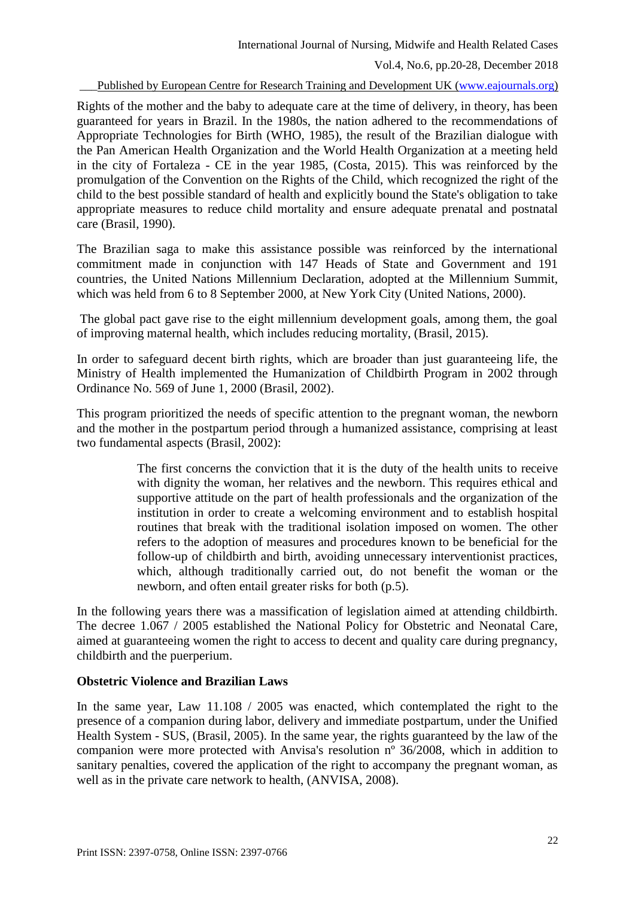Published by European Centre for Research Training and Development UK [\(www.eajournals.org\)](http://www.eajournals.org/)

Rights of the mother and the baby to adequate care at the time of delivery, in theory, has been guaranteed for years in Brazil. In the 1980s, the nation adhered to the recommendations of Appropriate Technologies for Birth (WHO, 1985), the result of the Brazilian dialogue with the Pan American Health Organization and the World Health Organization at a meeting held in the city of Fortaleza - CE in the year 1985, (Costa, 2015). This was reinforced by the promulgation of the Convention on the Rights of the Child, which recognized the right of the child to the best possible standard of health and explicitly bound the State's obligation to take appropriate measures to reduce child mortality and ensure adequate prenatal and postnatal care (Brasil, 1990).

The Brazilian saga to make this assistance possible was reinforced by the international commitment made in conjunction with 147 Heads of State and Government and 191 countries, the United Nations Millennium Declaration, adopted at the Millennium Summit, which was held from 6 to 8 September 2000, at New York City (United Nations, 2000).

The global pact gave rise to the eight millennium development goals, among them, the goal of improving maternal health, which includes reducing mortality, (Brasil, 2015).

In order to safeguard decent birth rights, which are broader than just guaranteeing life, the Ministry of Health implemented the Humanization of Childbirth Program in 2002 through Ordinance No. 569 of June 1, 2000 (Brasil, 2002).

This program prioritized the needs of specific attention to the pregnant woman, the newborn and the mother in the postpartum period through a humanized assistance, comprising at least two fundamental aspects (Brasil, 2002):

> The first concerns the conviction that it is the duty of the health units to receive with dignity the woman, her relatives and the newborn. This requires ethical and supportive attitude on the part of health professionals and the organization of the institution in order to create a welcoming environment and to establish hospital routines that break with the traditional isolation imposed on women. The other refers to the adoption of measures and procedures known to be beneficial for the follow-up of childbirth and birth, avoiding unnecessary interventionist practices, which, although traditionally carried out, do not benefit the woman or the newborn, and often entail greater risks for both (p.5).

In the following years there was a massification of legislation aimed at attending childbirth. The decree 1.067 / 2005 established the National Policy for Obstetric and Neonatal Care, aimed at guaranteeing women the right to access to decent and quality care during pregnancy, childbirth and the puerperium.

# **Obstetric Violence and Brazilian Laws**

In the same year, Law 11.108 / 2005 was enacted, which contemplated the right to the presence of a companion during labor, delivery and immediate postpartum, under the Unified Health System - SUS, (Brasil, 2005). In the same year, the rights guaranteed by the law of the companion were more protected with Anvisa's resolution nº 36/2008, which in addition to sanitary penalties, covered the application of the right to accompany the pregnant woman, as well as in the private care network to health, (ANVISA, 2008).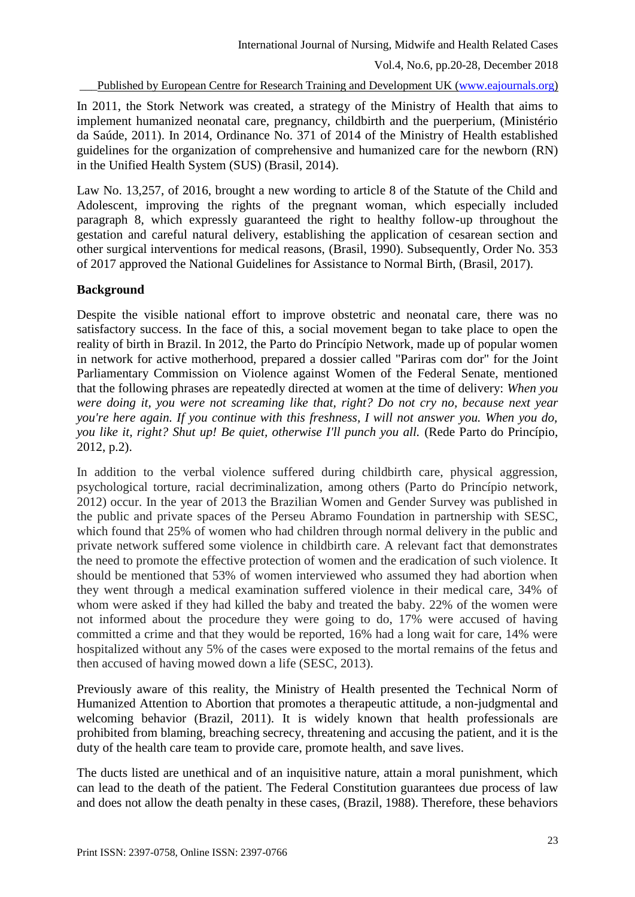Published by European Centre for Research Training and Development UK [\(www.eajournals.org\)](http://www.eajournals.org/)

In 2011, the Stork Network was created, a strategy of the Ministry of Health that aims to implement humanized neonatal care, pregnancy, childbirth and the puerperium, (Ministério da Saúde, 2011). In 2014, Ordinance No. 371 of 2014 of the Ministry of Health established guidelines for the organization of comprehensive and humanized care for the newborn (RN) in the Unified Health System (SUS) (Brasil, 2014).

Law No. 13,257, of 2016, brought a new wording to article 8 of the Statute of the Child and Adolescent, improving the rights of the pregnant woman, which especially included paragraph 8, which expressly guaranteed the right to healthy follow-up throughout the gestation and careful natural delivery, establishing the application of cesarean section and other surgical interventions for medical reasons, (Brasil, 1990). Subsequently, Order No. 353 of 2017 approved the National Guidelines for Assistance to Normal Birth, (Brasil, 2017).

# **Background**

Despite the visible national effort to improve obstetric and neonatal care, there was no satisfactory success. In the face of this, a social movement began to take place to open the reality of birth in Brazil. In 2012, the Parto do Princípio Network, made up of popular women in network for active motherhood, prepared a dossier called "Pariras com dor" for the Joint Parliamentary Commission on Violence against Women of the Federal Senate, mentioned that the following phrases are repeatedly directed at women at the time of delivery: *When you were doing it, you were not screaming like that, right? Do not cry no, because next year you're here again. If you continue with this freshness, I will not answer you. When you do, you like it, right? Shut up! Be quiet, otherwise I'll punch you all.* (Rede Parto do Princípio, 2012, p.2).

In addition to the verbal violence suffered during childbirth care, physical aggression, psychological torture, racial decriminalization, among others (Parto do Princípio network, 2012) occur. In the year of 2013 the Brazilian Women and Gender Survey was published in the public and private spaces of the Perseu Abramo Foundation in partnership with SESC, which found that 25% of women who had children through normal delivery in the public and private network suffered some violence in childbirth care. A relevant fact that demonstrates the need to promote the effective protection of women and the eradication of such violence. It should be mentioned that 53% of women interviewed who assumed they had abortion when they went through a medical examination suffered violence in their medical care, 34% of whom were asked if they had killed the baby and treated the baby. 22% of the women were not informed about the procedure they were going to do, 17% were accused of having committed a crime and that they would be reported, 16% had a long wait for care, 14% were hospitalized without any 5% of the cases were exposed to the mortal remains of the fetus and then accused of having mowed down a life (SESC, 2013).

Previously aware of this reality, the Ministry of Health presented the Technical Norm of Humanized Attention to Abortion that promotes a therapeutic attitude, a non-judgmental and welcoming behavior (Brazil, 2011). It is widely known that health professionals are prohibited from blaming, breaching secrecy, threatening and accusing the patient, and it is the duty of the health care team to provide care, promote health, and save lives.

The ducts listed are unethical and of an inquisitive nature, attain a moral punishment, which can lead to the death of the patient. The Federal Constitution guarantees due process of law and does not allow the death penalty in these cases, (Brazil, 1988). Therefore, these behaviors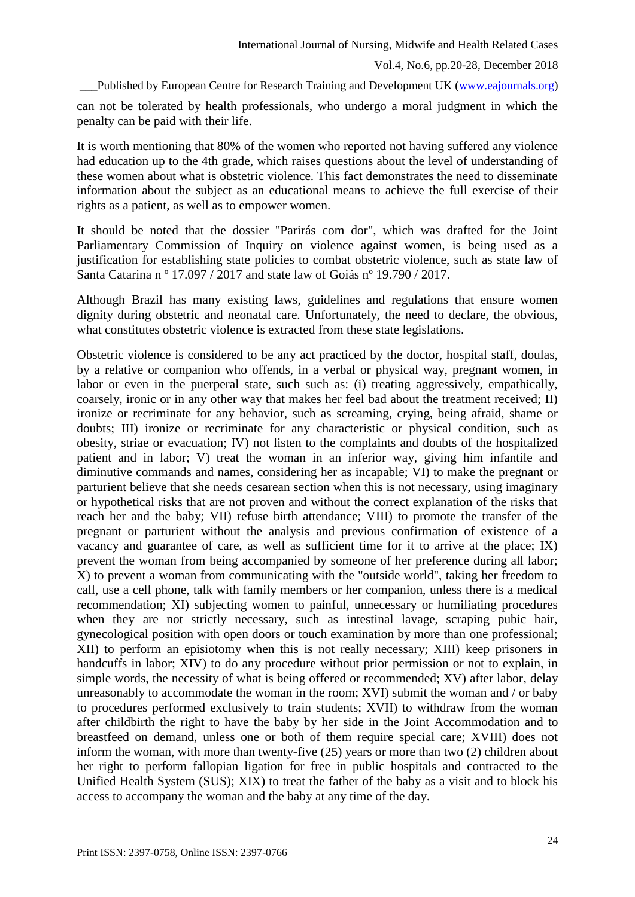Published by European Centre for Research Training and Development UK [\(www.eajournals.org\)](http://www.eajournals.org/)

can not be tolerated by health professionals, who undergo a moral judgment in which the penalty can be paid with their life.

It is worth mentioning that 80% of the women who reported not having suffered any violence had education up to the 4th grade, which raises questions about the level of understanding of these women about what is obstetric violence. This fact demonstrates the need to disseminate information about the subject as an educational means to achieve the full exercise of their rights as a patient, as well as to empower women.

It should be noted that the dossier "Parirás com dor", which was drafted for the Joint Parliamentary Commission of Inquiry on violence against women, is being used as a justification for establishing state policies to combat obstetric violence, such as state law of Santa Catarina n º 17.097 / 2017 and state law of Goiás nº 19.790 / 2017.

Although Brazil has many existing laws, guidelines and regulations that ensure women dignity during obstetric and neonatal care. Unfortunately, the need to declare, the obvious, what constitutes obstetric violence is extracted from these state legislations.

Obstetric violence is considered to be any act practiced by the doctor, hospital staff, doulas, by a relative or companion who offends, in a verbal or physical way, pregnant women, in labor or even in the puerperal state, such such as: (i) treating aggressively, empathically, coarsely, ironic or in any other way that makes her feel bad about the treatment received; II) ironize or recriminate for any behavior, such as screaming, crying, being afraid, shame or doubts; III) ironize or recriminate for any characteristic or physical condition, such as obesity, striae or evacuation; IV) not listen to the complaints and doubts of the hospitalized patient and in labor; V) treat the woman in an inferior way, giving him infantile and diminutive commands and names, considering her as incapable; VI) to make the pregnant or parturient believe that she needs cesarean section when this is not necessary, using imaginary or hypothetical risks that are not proven and without the correct explanation of the risks that reach her and the baby; VII) refuse birth attendance; VIII) to promote the transfer of the pregnant or parturient without the analysis and previous confirmation of existence of a vacancy and guarantee of care, as well as sufficient time for it to arrive at the place; IX) prevent the woman from being accompanied by someone of her preference during all labor; X) to prevent a woman from communicating with the "outside world", taking her freedom to call, use a cell phone, talk with family members or her companion, unless there is a medical recommendation; XI) subjecting women to painful, unnecessary or humiliating procedures when they are not strictly necessary, such as intestinal lavage, scraping pubic hair, gynecological position with open doors or touch examination by more than one professional; XII) to perform an episiotomy when this is not really necessary; XIII) keep prisoners in handcuffs in labor; XIV) to do any procedure without prior permission or not to explain, in simple words, the necessity of what is being offered or recommended; XV) after labor, delay unreasonably to accommodate the woman in the room; XVI) submit the woman and / or baby to procedures performed exclusively to train students; XVII) to withdraw from the woman after childbirth the right to have the baby by her side in the Joint Accommodation and to breastfeed on demand, unless one or both of them require special care; XVIII) does not inform the woman, with more than twenty-five (25) years or more than two (2) children about her right to perform fallopian ligation for free in public hospitals and contracted to the Unified Health System (SUS); XIX) to treat the father of the baby as a visit and to block his access to accompany the woman and the baby at any time of the day.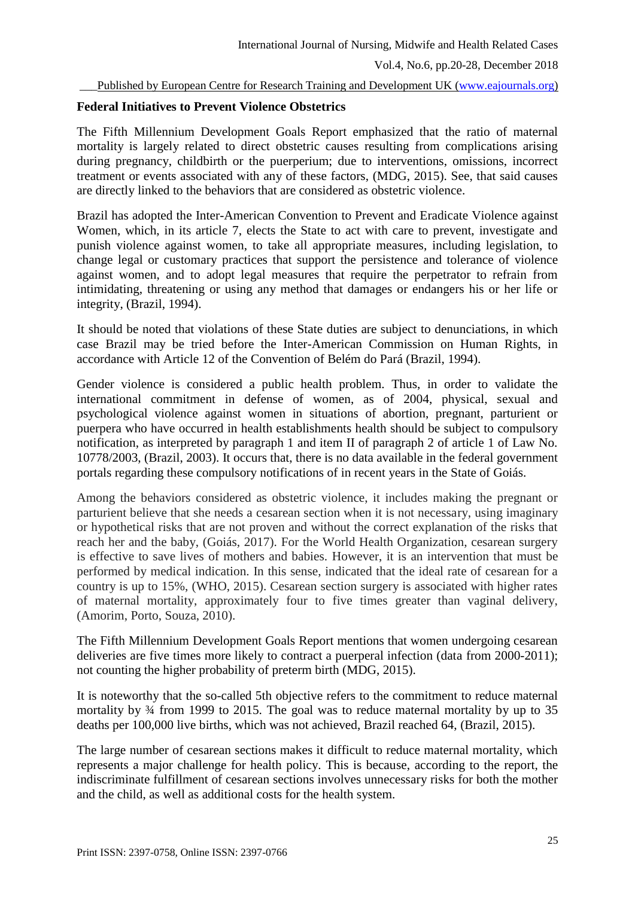### Published by European Centre for Research Training and Development UK [\(www.eajournals.org\)](http://www.eajournals.org/)

## **Federal Initiatives to Prevent Violence Obstetrics**

The Fifth Millennium Development Goals Report emphasized that the ratio of maternal mortality is largely related to direct obstetric causes resulting from complications arising during pregnancy, childbirth or the puerperium; due to interventions, omissions, incorrect treatment or events associated with any of these factors, (MDG, 2015). See, that said causes are directly linked to the behaviors that are considered as obstetric violence.

Brazil has adopted the Inter-American Convention to Prevent and Eradicate Violence against Women, which, in its article 7, elects the State to act with care to prevent, investigate and punish violence against women, to take all appropriate measures, including legislation, to change legal or customary practices that support the persistence and tolerance of violence against women, and to adopt legal measures that require the perpetrator to refrain from intimidating, threatening or using any method that damages or endangers his or her life or integrity, (Brazil, 1994).

It should be noted that violations of these State duties are subject to denunciations, in which case Brazil may be tried before the Inter-American Commission on Human Rights, in accordance with Article 12 of the Convention of Belém do Pará (Brazil, 1994).

Gender violence is considered a public health problem. Thus, in order to validate the international commitment in defense of women, as of 2004, physical, sexual and psychological violence against women in situations of abortion, pregnant, parturient or puerpera who have occurred in health establishments health should be subject to compulsory notification, as interpreted by paragraph 1 and item II of paragraph 2 of article 1 of Law No. 10778/2003, (Brazil, 2003). It occurs that, there is no data available in the federal government portals regarding these compulsory notifications of in recent years in the State of Goiás.

Among the behaviors considered as obstetric violence, it includes making the pregnant or parturient believe that she needs a cesarean section when it is not necessary, using imaginary or hypothetical risks that are not proven and without the correct explanation of the risks that reach her and the baby, (Goiás, 2017). For the World Health Organization, cesarean surgery is effective to save lives of mothers and babies. However, it is an intervention that must be performed by medical indication. In this sense, indicated that the ideal rate of cesarean for a country is up to 15%, (WHO, 2015). Cesarean section surgery is associated with higher rates of maternal mortality, approximately four to five times greater than vaginal delivery, (Amorim, Porto, Souza, 2010).

The Fifth Millennium Development Goals Report mentions that women undergoing cesarean deliveries are five times more likely to contract a puerperal infection (data from 2000-2011); not counting the higher probability of preterm birth (MDG, 2015).

It is noteworthy that the so-called 5th objective refers to the commitment to reduce maternal mortality by ¾ from 1999 to 2015. The goal was to reduce maternal mortality by up to 35 deaths per 100,000 live births, which was not achieved, Brazil reached 64, (Brazil, 2015).

The large number of cesarean sections makes it difficult to reduce maternal mortality, which represents a major challenge for health policy. This is because, according to the report, the indiscriminate fulfillment of cesarean sections involves unnecessary risks for both the mother and the child, as well as additional costs for the health system.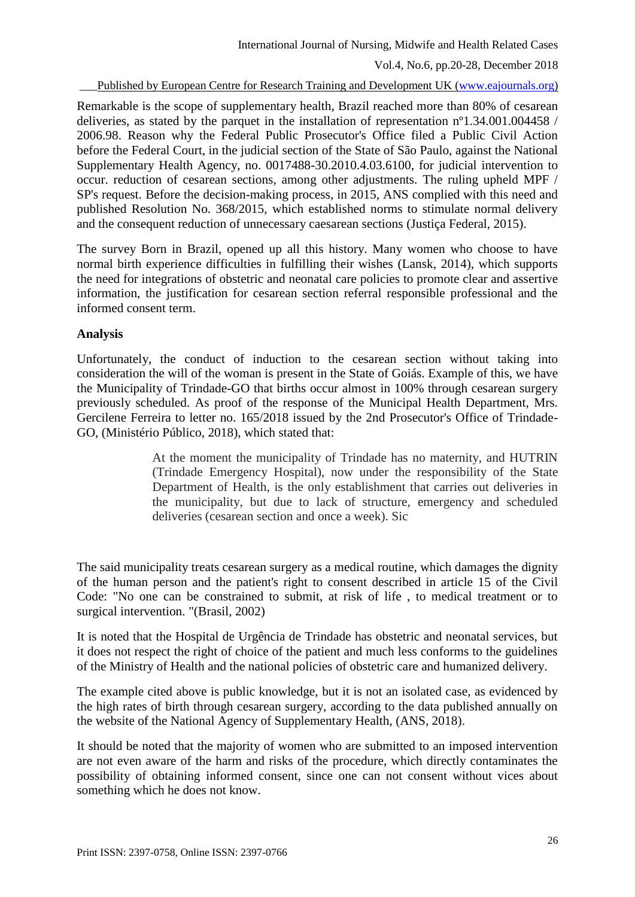Published by European Centre for Research Training and Development UK [\(www.eajournals.org\)](http://www.eajournals.org/)

Remarkable is the scope of supplementary health, Brazil reached more than 80% of cesarean deliveries, as stated by the parquet in the installation of representation  $n^{\circ}1.34.001.004458$  / 2006.98. Reason why the Federal Public Prosecutor's Office filed a Public Civil Action before the Federal Court, in the judicial section of the State of São Paulo, against the National Supplementary Health Agency, no. 0017488-30.2010.4.03.6100, for judicial intervention to occur. reduction of cesarean sections, among other adjustments. The ruling upheld MPF / SP's request. Before the decision-making process, in 2015, ANS complied with this need and published Resolution No. 368/2015, which established norms to stimulate normal delivery and the consequent reduction of unnecessary caesarean sections (Justiça Federal, 2015).

The survey Born in Brazil, opened up all this history. Many women who choose to have normal birth experience difficulties in fulfilling their wishes (Lansk, 2014), which supports the need for integrations of obstetric and neonatal care policies to promote clear and assertive information, the justification for cesarean section referral responsible professional and the informed consent term.

# **Analysis**

Unfortunately, the conduct of induction to the cesarean section without taking into consideration the will of the woman is present in the State of Goiás. Example of this, we have the Municipality of Trindade-GO that births occur almost in 100% through cesarean surgery previously scheduled. As proof of the response of the Municipal Health Department, Mrs. Gercilene Ferreira to letter no. 165/2018 issued by the 2nd Prosecutor's Office of Trindade-GO, (Ministério Público, 2018), which stated that:

> At the moment the municipality of Trindade has no maternity, and HUTRIN (Trindade Emergency Hospital), now under the responsibility of the State Department of Health, is the only establishment that carries out deliveries in the municipality, but due to lack of structure, emergency and scheduled deliveries (cesarean section and once a week). Sic

The said municipality treats cesarean surgery as a medical routine, which damages the dignity of the human person and the patient's right to consent described in article 15 of the Civil Code: "No one can be constrained to submit, at risk of life , to medical treatment or to surgical intervention. "(Brasil, 2002)

It is noted that the Hospital de Urgência de Trindade has obstetric and neonatal services, but it does not respect the right of choice of the patient and much less conforms to the guidelines of the Ministry of Health and the national policies of obstetric care and humanized delivery.

The example cited above is public knowledge, but it is not an isolated case, as evidenced by the high rates of birth through cesarean surgery, according to the data published annually on the website of the National Agency of Supplementary Health, (ANS, 2018).

It should be noted that the majority of women who are submitted to an imposed intervention are not even aware of the harm and risks of the procedure, which directly contaminates the possibility of obtaining informed consent, since one can not consent without vices about something which he does not know.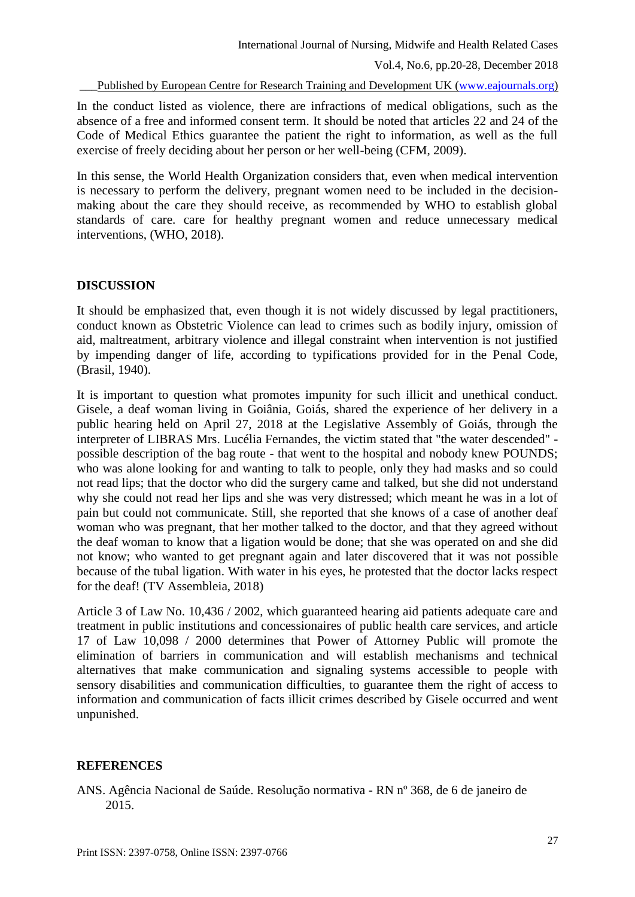Published by European Centre for Research Training and Development UK [\(www.eajournals.org\)](http://www.eajournals.org/)

In the conduct listed as violence, there are infractions of medical obligations, such as the absence of a free and informed consent term. It should be noted that articles 22 and 24 of the Code of Medical Ethics guarantee the patient the right to information, as well as the full exercise of freely deciding about her person or her well-being (CFM, 2009).

In this sense, the World Health Organization considers that, even when medical intervention is necessary to perform the delivery, pregnant women need to be included in the decisionmaking about the care they should receive, as recommended by WHO to establish global standards of care. care for healthy pregnant women and reduce unnecessary medical interventions, (WHO, 2018).

### **DISCUSSION**

It should be emphasized that, even though it is not widely discussed by legal practitioners, conduct known as Obstetric Violence can lead to crimes such as bodily injury, omission of aid, maltreatment, arbitrary violence and illegal constraint when intervention is not justified by impending danger of life, according to typifications provided for in the Penal Code, (Brasil, 1940).

It is important to question what promotes impunity for such illicit and unethical conduct. Gisele, a deaf woman living in Goiânia, Goiás, shared the experience of her delivery in a public hearing held on April 27, 2018 at the Legislative Assembly of Goiás, through the interpreter of LIBRAS Mrs. Lucélia Fernandes, the victim stated that "the water descended" possible description of the bag route - that went to the hospital and nobody knew POUNDS; who was alone looking for and wanting to talk to people, only they had masks and so could not read lips; that the doctor who did the surgery came and talked, but she did not understand why she could not read her lips and she was very distressed; which meant he was in a lot of pain but could not communicate. Still, she reported that she knows of a case of another deaf woman who was pregnant, that her mother talked to the doctor, and that they agreed without the deaf woman to know that a ligation would be done; that she was operated on and she did not know; who wanted to get pregnant again and later discovered that it was not possible because of the tubal ligation. With water in his eyes, he protested that the doctor lacks respect for the deaf! (TV Assembleia, 2018)

Article 3 of Law No. 10,436 / 2002, which guaranteed hearing aid patients adequate care and treatment in public institutions and concessionaires of public health care services, and article 17 of Law 10,098 / 2000 determines that Power of Attorney Public will promote the elimination of barriers in communication and will establish mechanisms and technical alternatives that make communication and signaling systems accessible to people with sensory disabilities and communication difficulties, to guarantee them the right of access to information and communication of facts illicit crimes described by Gisele occurred and went unpunished.

### **REFERENCES**

ANS. Agência Nacional de Saúde. Resolução normativa - RN nº 368, de 6 de janeiro de 2015.